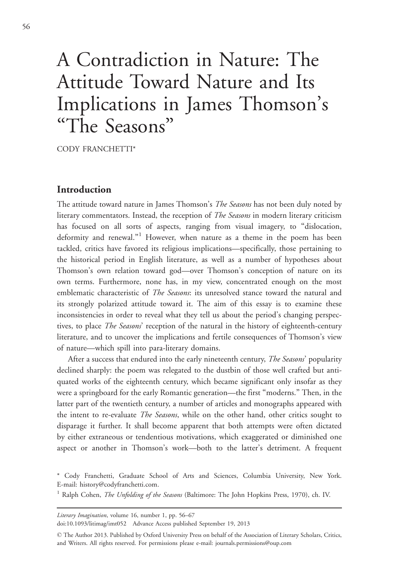# A Contradiction in Nature: The Attitude Toward Nature and Its Implications in James Thomson's "The Seasons"

CODY FRANCHETTI\*

#### **Introduction**

The attitude toward nature in James Thomson's *The Seasons* has not been duly noted by literary commentators. Instead, the reception of *The Seasons* in modern literary criticism has focused on all sorts of aspects, ranging from visual imagery, to "dislocation, deformity and renewal." <sup>1</sup> However, when nature as a theme in the poem has been tackled, critics have favored its religious implications—specifically, those pertaining to the historical period in English literature, as well as a number of hypotheses about Thomson's own relation toward god—over Thomson's conception of nature on its own terms. Furthermore, none has, in my view, concentrated enough on the most emblematic characteristic of *The Seasons*: its unresolved stance toward the natural and its strongly polarized attitude toward it. The aim of this essay is to examine these inconsistencies in order to reveal what they tell us about the period's changing perspectives, to place *The Seasons*' reception of the natural in the history of eighteenth-century literature, and to uncover the implications and fertile consequences of Thomson's view of nature—which spill into para-literary domains.

After a success that endured into the early nineteenth century, *The Seasons*' popularity declined sharply: the poem was relegated to the dustbin of those well crafted but antiquated works of the eighteenth century, which became significant only insofar as they were a springboard for the early Romantic generation—the first "moderns." Then, in the latter part of the twentieth century, a number of articles and monographs appeared with the intent to re-evaluate *The Seasons*, while on the other hand, other critics sought to disparage it further. It shall become apparent that both attempts were often dictated by either extraneous or tendentious motivations, which exaggerated or diminished one aspect or another in Thomson's work—both to the latter's detriment. A frequent

Literary Imagination, volume 16, number 1, pp. 56–67

doi:10.1093/litimag/imt052 Advance Access published September 19, 2013

- The Author 2013. Published by Oxford University Press on behalf of the Association of Literary Scholars, Critics, and Writers. All rights reserved. For permissions please e-mail: journals.permissions@oup.com

<sup>\*</sup> Cody Franchetti, Graduate School of Arts and Sciences, Columbia University, New York. E-mail: history@codyfranchetti.com.

<sup>&</sup>lt;sup>1</sup> Ralph Cohen, *The Unfolding of the Seasons* (Baltimore: The John Hopkins Press, 1970), ch. IV.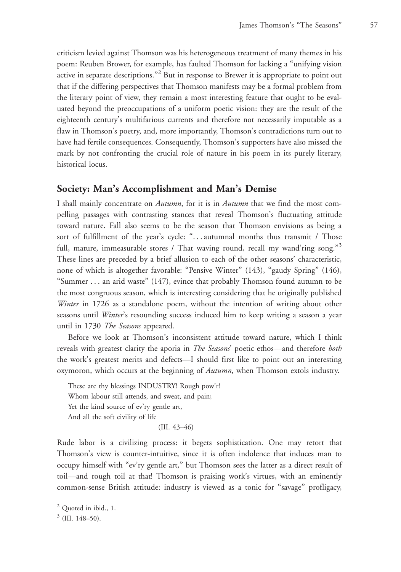criticism levied against Thomson was his heterogeneous treatment of many themes in his poem: Reuben Brower, for example, has faulted Thomson for lacking a "unifying vision active in separate descriptions."<sup>2</sup> But in response to Brewer it is appropriate to point out that if the differing perspectives that Thomson manifests may be a formal problem from the literary point of view, they remain a most interesting feature that ought to be evaluated beyond the preoccupations of a uniform poetic vision: they are the result of the eighteenth century's multifarious currents and therefore not necessarily imputable as a flaw in Thomson's poetry, and, more importantly, Thomson's contradictions turn out to have had fertile consequences. Consequently, Thomson's supporters have also missed the mark by not confronting the crucial role of nature in his poem in its purely literary, historical locus.

#### Society: Man's Accomplishment and Man's Demise

I shall mainly concentrate on Autumn, for it is in Autumn that we find the most compelling passages with contrasting stances that reveal Thomson's fluctuating attitude toward nature. Fall also seems to be the season that Thomson envisions as being a sort of fulfillment of the year's cycle: "... autumnal months thus transmit / Those full, mature, immeasurable stores / That waving round, recall my wand'ring song."3 These lines are preceded by a brief allusion to each of the other seasons' characteristic, none of which is altogether favorable: "Pensive Winter" (143), "gaudy Spring" (146), "Summer ... an arid waste" (147), evince that probably Thomson found autumn to be the most congruous season, which is interesting considering that he originally published Winter in 1726 as a standalone poem, without the intention of writing about other seasons until Winter's resounding success induced him to keep writing a season a year until in 1730 The Seasons appeared.

Before we look at Thomson's inconsistent attitude toward nature, which I think reveals with greatest clarity the aporia in *The Seasons*' poetic ethos—and therefore *both* the work's greatest merits and defects—I should first like to point out an interesting oxymoron, which occurs at the beginning of Autumn, when Thomson extols industry.

These are thy blessings INDUSTRY! Rough pow'r! Whom labour still attends, and sweat, and pain; Yet the kind source of ev'ry gentle art, And all the soft civility of life

(III. 43–46)

Rude labor is a civilizing process: it begets sophistication. One may retort that Thomson's view is counter-intuitive, since it is often indolence that induces man to occupy himself with "ev'ry gentle art," but Thomson sees the latter as a direct result of toil—and rough toil at that! Thomson is praising work's virtues, with an eminently common-sense British attitude: industry is viewed as a tonic for "savage" profligacy,

<sup>2</sup> Quoted in ibid., 1.

 $3$  (III. 148–50).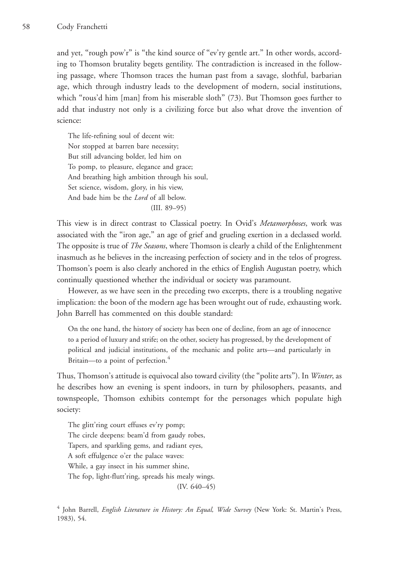and yet, "rough pow'r" is "the kind source of "ev'ry gentle art." In other words, according to Thomson brutality begets gentility. The contradiction is increased in the following passage, where Thomson traces the human past from a savage, slothful, barbarian age, which through industry leads to the development of modern, social institutions, which "rous'd him [man] from his miserable sloth" (73). But Thomson goes further to add that industry not only is a civilizing force but also what drove the invention of science:

The life-refining soul of decent wit: Nor stopped at barren bare necessity; But still advancing bolder, led him on To pomp, to pleasure, elegance and grace; And breathing high ambition through his soul, Set science, wisdom, glory, in his view, And bade him be the Lord of all below. (III. 89–95)

This view is in direct contrast to Classical poetry. In Ovid's Metamorphoses, work was associated with the "iron age," an age of grief and grueling exertion in a declassed world. The opposite is true of *The Seasons*, where Thomson is clearly a child of the Enlightenment inasmuch as he believes in the increasing perfection of society and in the telos of progress. Thomson's poem is also clearly anchored in the ethics of English Augustan poetry, which continually questioned whether the individual or society was paramount.

However, as we have seen in the preceding two excerpts, there is a troubling negative implication: the boon of the modern age has been wrought out of rude, exhausting work. John Barrell has commented on this double standard:

On the one hand, the history of society has been one of decline, from an age of innocence to a period of luxury and strife; on the other, society has progressed, by the development of political and judicial institutions, of the mechanic and polite arts—and particularly in Britain—to a point of perfection.<sup>4</sup>

Thus, Thomson's attitude is equivocal also toward civility (the "polite arts"). In Winter, as he describes how an evening is spent indoors, in turn by philosophers, peasants, and townspeople, Thomson exhibits contempt for the personages which populate high society:

The glitt'ring court effuses ev'ry pomp; The circle deepens: beam'd from gaudy robes, Tapers, and sparkling gems, and radiant eyes, A soft effulgence o'er the palace waves: While, a gay insect in his summer shine, The fop, light-flutt'ring, spreads his mealy wings. (IV. 640–45)

<sup>4</sup> John Barrell, *English Literature in History: An Equal, Wide Survey* (New York: St. Martin's Press, 1983), 54.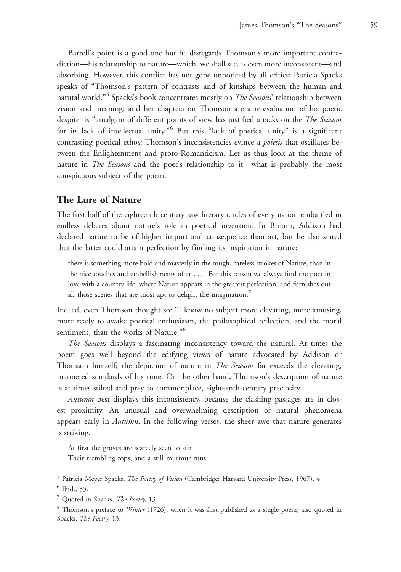Barrell's point is a good one but he disregards Thomson's more important contradiction—his relationship to nature—which, we shall see, is even more inconsistent—and absorbing. However, this conflict has not gone unnoticed by all critics: Patricia Spacks speaks of "Thomson's pattern of contrasts and of kinships between the human and natural world."<sup>5</sup> Spacks's book concentrates mostly on *The Seasons*' relationship between vision and meaning; and her chapters on Thomson are a re-evaluation of his poetic despite its "amalgam of different points of view has justified attacks on the The Seasons for its lack of intellectual unity." <sup>6</sup> But this "lack of poetical unity" is a significant contrasting poetical ethos: Thomson's inconsistencies evince a *poiesis* that oscillates between the Enlightenment and proto-Romanticism. Let us thus look at the theme of nature in *The Seasons* and the poet's relationship to it—what is probably the most conspicuous subject of the poem.

## The Lure of Nature

The first half of the eighteenth century saw literary circles of every nation embattled in endless debates about nature's role in poetical invention. In Britain, Addison had declared nature to be of higher import and consequence than art, but he also stated that the latter could attain perfection by finding its inspiration in nature:

there is something more bold and masterly in the rough, careless strokes of Nature, than in the nice touches and embellishments of art. ... For this reason we always find the poet in love with a country life, where Nature appears in the greatest perfection, and furnishes out all those scenes that are most apt to delight the imagination.<sup>7</sup>

Indeed, even Thomson thought so: "I know no subject more elevating, more amusing, more ready to awake poetical enthusiasm, the philosophical reflection, and the moral sentiment, than the works of Nature."<sup>8</sup>

The Seasons displays a fascinating inconsistency toward the natural. At times the poem goes well beyond the edifying views of nature advocated by Addison or Thomson himself; the depiction of nature in *The Seasons* far exceeds the elevating, mannered standards of his time. On the other hand, Thomson's description of nature is at times stilted and prey to commonplace, eighteenth-century preciosity.

Autumn best displays this inconsistency, because the clashing passages are in closest proximity. An unusual and overwhelming description of natural phenomena appears early in *Autumn*. In the following verses, the sheer awe that nature generates is striking.

At first the groves are scarcely seen to stir Their trembling tops; and a still murmur runs

<sup>&</sup>lt;sup>5</sup> Patricia Meyer Spacks, The Poetry of Vision (Cambridge: Harvard University Press, 1967), 4.  $<sup>6</sup>$  Ibid., 35.</sup>

 $7$  Quoted in Spacks, *The Poetry*, 13.

 $8$  Thomson's preface to *Winter* (1726), when it was first published as a single poem; also quoted in Spacks, The Poetry, 13.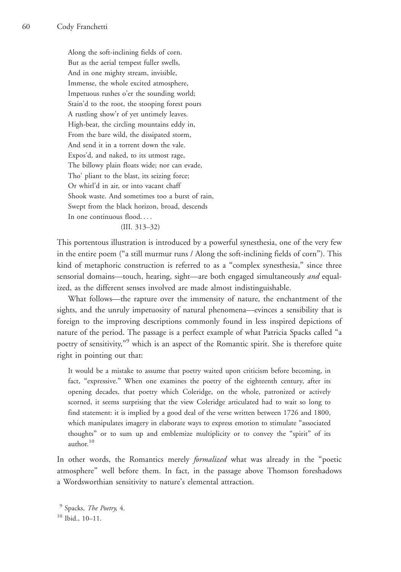Along the soft-inclining fields of corn. But as the aerial tempest fuller swells, And in one mighty stream, invisible, Immense, the whole excited atmosphere, Impetuous rushes o'er the sounding world; Stain'd to the root, the stooping forest pours A rustling show'r of yet untimely leaves. High-beat, the circling mountains eddy in, From the bare wild, the dissipated storm, And send it in a torrent down the vale. Expos'd, and naked, to its utmost rage, The billowy plain floats wide; nor can evade, Tho' pliant to the blast, its seizing force; Or whirl'd in air, or into vacant chaff Shook waste. And sometimes too a burst of rain, Swept from the black horizon, broad, descends In one continuous flood. ... (III. 313–32)

This portentous illustration is introduced by a powerful synesthesia, one of the very few in the entire poem ("a still murmur runs / Along the soft-inclining fields of corn"). This kind of metaphoric construction is referred to as a "complex synesthesia," since three sensorial domains—touch, hearing, sight—are both engaged simultaneously *and* equalized, as the different senses involved are made almost indistinguishable.

What follows—the rapture over the immensity of nature, the enchantment of the sights, and the unruly impetuosity of natural phenomena—evinces a sensibility that is foreign to the improving descriptions commonly found in less inspired depictions of nature of the period. The passage is a perfect example of what Patricia Spacks called "a poetry of sensitivity," <sup>9</sup> which is an aspect of the Romantic spirit. She is therefore quite right in pointing out that:

It would be a mistake to assume that poetry waited upon criticism before becoming, in fact, "expressive." When one examines the poetry of the eighteenth century, after its opening decades, that poetry which Coleridge, on the whole, patronized or actively scorned, it seems surprising that the view Coleridge articulated had to wait so long to find statement: it is implied by a good deal of the verse written between 1726 and 1800, which manipulates imagery in elaborate ways to express emotion to stimulate "associated thoughts" or to sum up and emblemize multiplicity or to convey the "spirit" of its author.<sup>10</sup>

In other words, the Romantics merely *formalized* what was already in the "poetic atmosphere" well before them. In fact, in the passage above Thomson foreshadows a Wordsworthian sensitivity to nature's elemental attraction.

<sup>9</sup> Spacks, *The Poetry*, 4.

<sup>10</sup> Ibid., 10–11.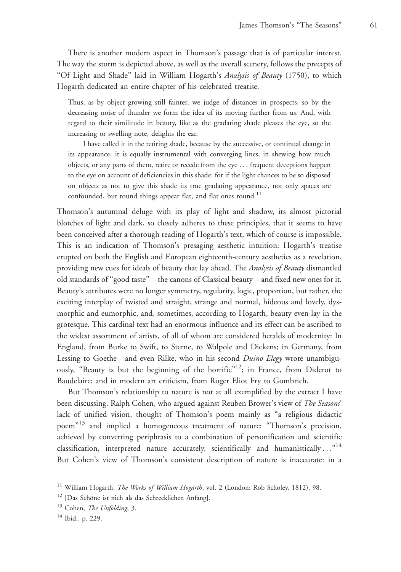There is another modern aspect in Thomson's passage that is of particular interest. The way the storm is depicted above, as well as the overall scenery, follows the precepts of "Of Light and Shade" laid in William Hogarth's Analysis of Beauty (1750), to which Hogarth dedicated an entire chapter of his celebrated treatise.

Thus, as by object growing still fainter, we judge of distances in prospects, so by the decreasing noise of thunder we form the idea of its moving further from us. And, with regard to their similitude in beauty, like as the gradating shade pleases the eye, so the increasing or swelling note, delights the ear.

I have called it in the retiring shade, because by the successive, or continual change in its appearance, it is equally instrumental with converging lines, in shewing how much objects, or any parts of them, retire or recede from the eye ... frequent deceptions happen to the eye on account of deficiencies in this shade: for if the light chances to be so disposed on objects as not to give this shade its true gradating appearance, not only spaces are confounded, but round things appear flat, and flat ones round.<sup>11</sup>

Thomson's autumnal deluge with its play of light and shadow, its almost pictorial blotches of light and dark, so closely adheres to these principles, that it seems to have been conceived after a thorough reading of Hogarth's text, which of course is impossible. This is an indication of Thomson's presaging aesthetic intuition: Hogarth's treatise erupted on both the English and European eighteenth-century aesthetics as a revelation, providing new cues for ideals of beauty that lay ahead. The Analysis of Beauty dismantled old standards of "good taste"—the canons of Classical beauty—and fixed new ones for it. Beauty's attributes were no longer symmetry, regularity, logic, proportion, but rather, the exciting interplay of twisted and straight, strange and normal, hideous and lovely, dysmorphic and eumorphic, and, sometimes, according to Hogarth, beauty even lay in the grotesque. This cardinal text had an enormous influence and its effect can be ascribed to the widest assortment of artists, of all of whom are considered heralds of modernity: In England, from Burke to Swift, to Sterne, to Walpole and Dickens; in Germany, from Lessing to Goethe—and even Rilke, who in his second *Duino Elegy* wrote unambiguously, "Beauty is but the beginning of the horrific"<sup>12</sup>; in France, from Diderot to Baudelaire; and in modern art criticism, from Roger Eliot Fry to Gombrich.

But Thomson's relationship to nature is not at all exemplified by the extract I have been discussing. Ralph Cohen, who argued against Reuben Brower's view of The Seasons' lack of unified vision, thought of Thomson's poem mainly as "a religious didactic poem" <sup>13</sup> and implied a homogeneous treatment of nature: "Thomson's precision, achieved by converting periphrasis to a combination of personification and scientific classification, interpreted nature accurately, scientifically and humanistically..."<sup>14</sup> But Cohen's view of Thomson's consistent description of nature is inaccurate: in a

<sup>&</sup>lt;sup>11</sup> William Hogarth, *The Works of William Hogarth*, vol. 2 (London: Rob Scholey, 1812), 98.

<sup>&</sup>lt;sup>12</sup> [Das Schöne ist nich als das Schrecklichen Anfang].

<sup>&</sup>lt;sup>13</sup> Cohen, The Unfolding, 3.

<sup>&</sup>lt;sup>14</sup> Ibid., p. 229.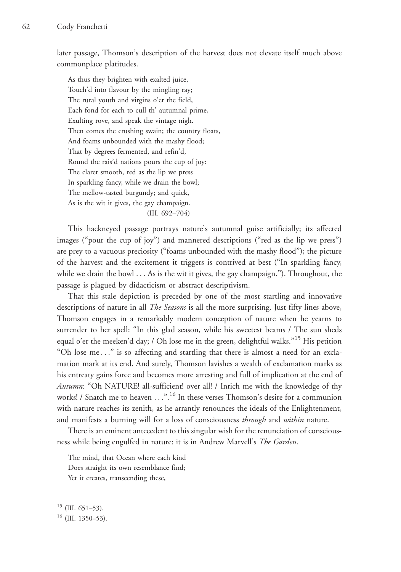later passage, Thomson's description of the harvest does not elevate itself much above commonplace platitudes.

As thus they brighten with exalted juice, Touch'd into flavour by the mingling ray; The rural youth and virgins o'er the field, Each fond for each to cull th' autumnal prime, Exulting rove, and speak the vintage nigh. Then comes the crushing swain; the country floats, And foams unbounded with the mashy flood; That by degrees fermented, and refin'd, Round the rais'd nations pours the cup of joy: The claret smooth, red as the lip we press In sparkling fancy, while we drain the bowl; The mellow-tasted burgundy; and quick, As is the wit it gives, the gay champaign. (III. 692–704)

This hackneyed passage portrays nature's autumnal guise artificially; its affected images ("pour the cup of joy") and mannered descriptions ("red as the lip we press") are prey to a vacuous preciosity ("foams unbounded with the mashy flood"); the picture of the harvest and the excitement it triggers is contrived at best ("In sparkling fancy, while we drain the bowl ... As is the wit it gives, the gay champaign."). Throughout, the passage is plagued by didacticism or abstract descriptivism.

That this stale depiction is preceded by one of the most startling and innovative descriptions of nature in all *The Seasons* is all the more surprising. Just fifty lines above, Thomson engages in a remarkably modern conception of nature when he yearns to surrender to her spell: "In this glad season, while his sweetest beams / The sun sheds equal o'er the meeken'd day; / Oh lose me in the green, delightful walks."<sup>15</sup> His petition "Oh lose me..." is so affecting and startling that there is almost a need for an exclamation mark at its end. And surely, Thomson lavishes a wealth of exclamation marks as his entreaty gains force and becomes more arresting and full of implication at the end of Autumn: "Oh NATURE! all-sufficient! over all! / Inrich me with the knowledge of thy works! / Snatch me to heaven ...". <sup>16</sup> In these verses Thomson's desire for a communion with nature reaches its zenith, as he arrantly renounces the ideals of the Enlightenment, and manifests a burning will for a loss of consciousness through and within nature.

There is an eminent antecedent to this singular wish for the renunciation of consciousness while being engulfed in nature: it is in Andrew Marvell's The Garden.

The mind, that Ocean where each kind Does straight its own resemblance find; Yet it creates, transcending these,

 $15$  (III. 651–53).  $16$  (III. 1350–53).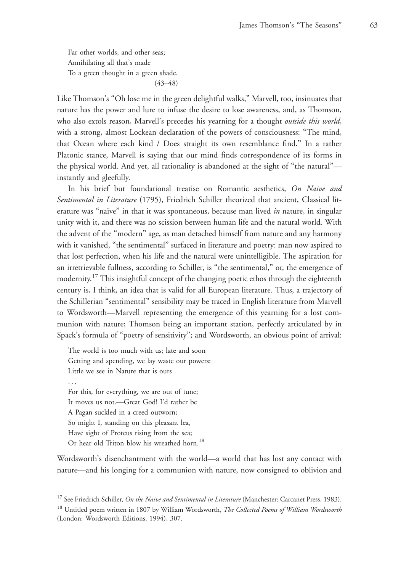Far other worlds, and other seas; Annihilating all that's made To a green thought in a green shade.  $(43 - 48)$ 

Like Thomson's "Oh lose me in the green delightful walks," Marvell, too, insinuates that nature has the power and lure to infuse the desire to lose awareness, and, as Thomson, who also extols reason, Marvell's precedes his yearning for a thought *outside this world*, with a strong, almost Lockean declaration of the powers of consciousness: "The mind, that Ocean where each kind / Does straight its own resemblance find." In a rather Platonic stance, Marvell is saying that our mind finds correspondence of its forms in the physical world. And yet, all rationality is abandoned at the sight of "the natural" instantly and gleefully.

In his brief but foundational treatise on Romantic aesthetics, On Naive and Sentimental in Literature (1795), Friedrich Schiller theorized that ancient, Classical literature was "naïve" in that it was spontaneous, because man lived in nature, in singular unity with it, and there was no scission between human life and the natural world. With the advent of the "modern" age, as man detached himself from nature and any harmony with it vanished, "the sentimental" surfaced in literature and poetry: man now aspired to that lost perfection, when his life and the natural were unintelligible. The aspiration for an irretrievable fullness, according to Schiller, is "the sentimental," or, the emergence of modernity.<sup>17</sup> This insightful concept of the changing poetic ethos through the eighteenth century is, I think, an idea that is valid for all European literature. Thus, a trajectory of the Schillerian "sentimental" sensibility may be traced in English literature from Marvell to Wordsworth—Marvell representing the emergence of this yearning for a lost communion with nature; Thomson being an important station, perfectly articulated by in Spack's formula of "poetry of sensitivity"; and Wordsworth, an obvious point of arrival:

The world is too much with us; late and soon Getting and spending, we lay waste our powers: Little we see in Nature that is ours ... For this, for everything, we are out of tune; It moves us not.—Great God! I'd rather be A Pagan suckled in a creed outworn; So might I, standing on this pleasant lea, Have sight of Proteus rising from the sea; Or hear old Triton blow his wreathed horn.<sup>18</sup>

Wordsworth's disenchantment with the world—a world that has lost any contact with nature—and his longing for a communion with nature, now consigned to oblivion and

<sup>&</sup>lt;sup>17</sup> See Friedrich Schiller, On the Naive and Sentimental in Literature (Manchester: Carcanet Press, 1983). <sup>18</sup> Untitled poem written in 1807 by William Wordsworth, The Collected Poems of William Wordsworth (London: Wordsworth Editions, 1994), 307.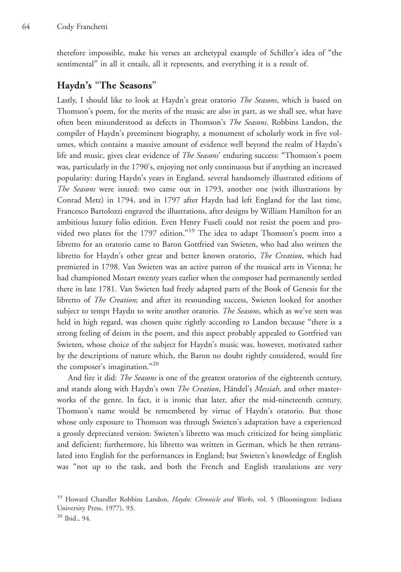therefore impossible, make his verses an archetypal example of Schiller's idea of "the sentimental" in all it entails, all it represents, and everything it is a result of.

# Haydn's "The Seasons"

Lastly, I should like to look at Haydn's great oratorio *The Seasons*, which is based on Thomson's poem, for the merits of the music are also in part, as we shall see, what have often been misunderstood as defects in Thomson's *The Seasons*. Robbins Landon, the compiler of Haydn's preeminent biography, a monument of scholarly work in five volumes, which contains a massive amount of evidence well beyond the realm of Haydn's life and music, gives clear evidence of *The Seasons*' enduring success: "Thomson's poem was, particularly in the 1790's, enjoying not only continuous but if anything an increased popularity: during Haydn's years in England, several handsomely illustrated editions of The Seasons were issued: two came out in 1793, another one (with illustrations by Conrad Metz) in 1794, and in 1797 after Haydn had left England for the last time, Francesco Bartolozzi engraved the illustrations, after designs by William Hamilton for an ambitious luxury folio edition. Even Henry Fuseli could not resist the poem and provided two plates for the 1797 edition."<sup>19</sup> The idea to adapt Thomson's poem into a libretto for an oratorio came to Baron Gottfried van Swieten, who had also written the libretto for Haydn's other great and better known oratorio, The Creation, which had premiered in 1798. Van Swieten was an active patron of the musical arts in Vienna; he had championed Mozart twenty years earlier when the composer had permanently settled there in late 1781. Van Swieten had freely adapted parts of the Book of Genesis for the libretto of The Creation; and after its resounding success, Swieten looked for another subject to tempt Haydn to write another oratorio. The Seasons, which as we've seen was held in high regard, was chosen quite rightly according to Landon because "there is a strong feeling of deism in the poem, and this aspect probably appealed to Gottfried van Swieten, whose choice of the subject for Haydn's music was, however, motivated rather by the descriptions of nature which, the Baron no doubt rightly considered, would fire the composer's imagination."20

And fire it did: *The Seasons* is one of the greatest oratorios of the eighteenth century, and stands along with Haydn's own *The Creation*, Händel's *Messiah*, and other masterworks of the genre. In fact, it is ironic that later, after the mid-nineteenth century, Thomson's name would be remembered by virtue of Haydn's oratorio. But those whose only exposure to Thomson was through Swieten's adaptation have a experienced a grossly depreciated version: Swieten's libretto was much criticized for being simplistic and deficient; furthermore, his libretto was written in German, which he then retranslated into English for the performances in England; but Swieten's knowledge of English was "not up to the task, and both the French and English translations are very

<sup>&</sup>lt;sup>19</sup> Howard Chandler Robbins Landon, *Haydn: Chronicle and Works*, vol. 5 (Bloomington: Indiana University Press, 1977), 93.

<sup>20</sup> Ibid., 94.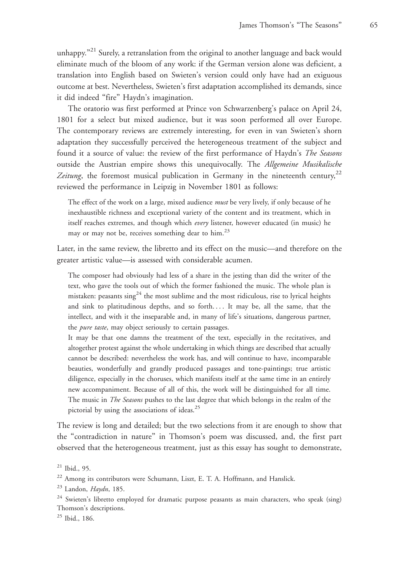unhappy." <sup>21</sup> Surely, a retranslation from the original to another language and back would eliminate much of the bloom of any work: if the German version alone was deficient, a translation into English based on Swieten's version could only have had an exiguous outcome at best. Nevertheless, Swieten's first adaptation accomplished its demands, since it did indeed "fire" Haydn's imagination.

The oratorio was first performed at Prince von Schwarzenberg's palace on April 24, 1801 for a select but mixed audience, but it was soon performed all over Europe. The contemporary reviews are extremely interesting, for even in van Swieten's shorn adaptation they successfully perceived the heterogeneous treatment of the subject and found it a source of value: the review of the first performance of Haydn's The Seasons outside the Austrian empire shows this unequivocally. The Allgemeine Musikalische Zeitung, the foremost musical publication in Germany in the nineteenth century,  $2^2$ reviewed the performance in Leipzig in November 1801 as follows:

The effect of the work on a large, mixed audience *must* be very lively, if only because of he inexhaustible richness and exceptional variety of the content and its treatment, which in itself reaches extremes, and though which every listener, however educated (in music) he may or may not be, receives something dear to him.<sup>23</sup>

Later, in the same review, the libretto and its effect on the music—and therefore on the greater artistic value—is assessed with considerable acumen.

The composer had obviously had less of a share in the jesting than did the writer of the text, who gave the tools out of which the former fashioned the music. The whole plan is mistaken: peasants sing<sup>24</sup> the most sublime and the most ridiculous, rise to lyrical heights and sink to platitudinous depths, and so forth. ... It may be, all the same, that the intellect, and with it the inseparable and, in many of life's situations, dangerous partner, the *pure taste*, may object seriously to certain passages.

It may be that one damns the treatment of the text, especially in the recitatives, and altogether protest against the whole undertaking in which things are described that actually cannot be described: nevertheless the work has, and will continue to have, incomparable beauties, wonderfully and grandly produced passages and tone-paintings; true artistic diligence, especially in the choruses, which manifests itself at the same time in an entirely new accompaniment. Because of all of this, the work will be distinguished for all time. The music in *The Seasons* pushes to the last degree that which belongs in the realm of the pictorial by using the associations of ideas.<sup>25</sup>

The review is long and detailed; but the two selections from it are enough to show that the "contradiction in nature" in Thomson's poem was discussed, and, the first part observed that the heterogeneous treatment, just as this essay has sought to demonstrate,

 $^{23}$  Landon, Haydn, 185.

<sup>24</sup> Swieten's libretto employed for dramatic purpose peasants as main characters, who speak (sing) Thomson's descriptions.

<sup>25</sup> Ibid., 186.

 $21$  Ibid., 95.

<sup>&</sup>lt;sup>22</sup> Among its contributors were Schumann, Liszt, E. T. A. Hoffmann, and Hanslick.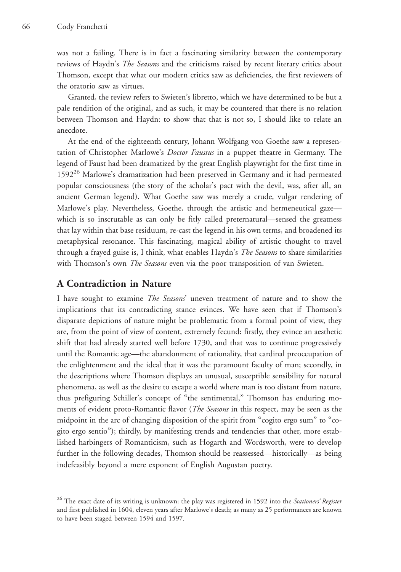was not a failing. There is in fact a fascinating similarity between the contemporary reviews of Haydn's *The Seasons* and the criticisms raised by recent literary critics about Thomson, except that what our modern critics saw as deficiencies, the first reviewers of the oratorio saw as virtues.

Granted, the review refers to Swieten's libretto, which we have determined to be but a pale rendition of the original, and as such, it may be countered that there is no relation between Thomson and Haydn: to show that that is not so, I should like to relate an anecdote.

At the end of the eighteenth century, Johann Wolfgang von Goethe saw a representation of Christopher Marlowe's *Doctor Faustus* in a puppet theatre in Germany. The legend of Faust had been dramatized by the great English playwright for the first time in 1592<sup>26</sup> Marlowe's dramatization had been preserved in Germany and it had permeated popular consciousness (the story of the scholar's pact with the devil, was, after all, an ancient German legend). What Goethe saw was merely a crude, vulgar rendering of Marlowe's play. Nevertheless, Goethe, through the artistic and hermeneutical gaze which is so inscrutable as can only be fitly called preternatural—sensed the greatness that lay within that base residuum, re-cast the legend in his own terms, and broadened its metaphysical resonance. This fascinating, magical ability of artistic thought to travel through a frayed guise is, I think, what enables Haydn's *The Seasons* to share similarities with Thomson's own *The Seasons* even via the poor transposition of van Swieten.

### A Contradiction in Nature

I have sought to examine *The Seasons*' uneven treatment of nature and to show the implications that its contradicting stance evinces. We have seen that if Thomson's disparate depictions of nature might be problematic from a formal point of view, they are, from the point of view of content, extremely fecund: firstly, they evince an aesthetic shift that had already started well before 1730, and that was to continue progressively until the Romantic age—the abandonment of rationality, that cardinal preoccupation of the enlightenment and the ideal that it was the paramount faculty of man; secondly, in the descriptions where Thomson displays an unusual, susceptible sensibility for natural phenomena, as well as the desire to escape a world where man is too distant from nature, thus prefiguring Schiller's concept of "the sentimental," Thomson has enduring moments of evident proto-Romantic flavor (*The Seasons* in this respect, may be seen as the midpoint in the arc of changing disposition of the spirit from "cogito ergo sum" to "cogito ergo sentio"); thirdly, by manifesting trends and tendencies that other, more established harbingers of Romanticism, such as Hogarth and Wordsworth, were to develop further in the following decades, Thomson should be reassessed—historically—as being indefeasibly beyond a mere exponent of English Augustan poetry.

<sup>&</sup>lt;sup>26</sup> The exact date of its writing is unknown: the play was registered in 1592 into the Stationers' Register and first published in 1604, eleven years after Marlowe's death; as many as 25 performances are known to have been staged between 1594 and 1597.